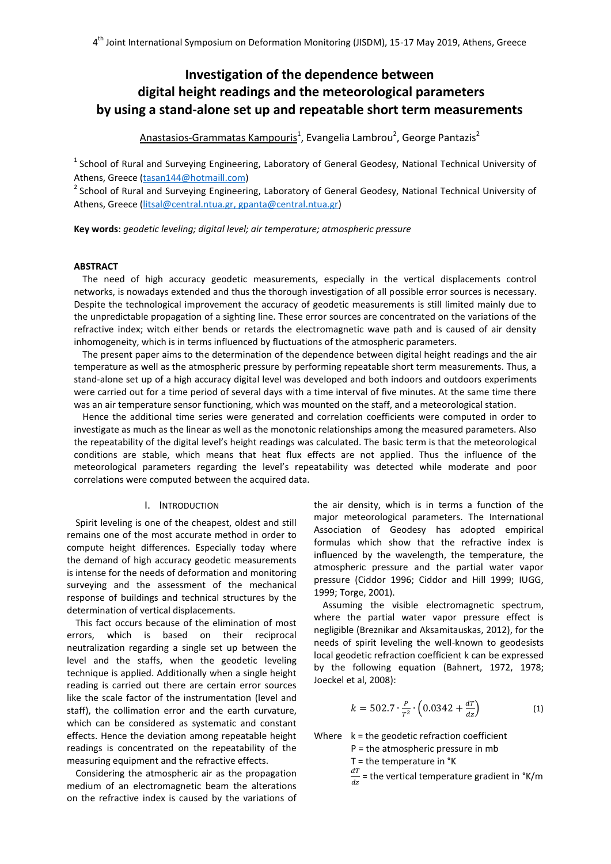# **Investigation of the dependence between digital height readings and the meteorological parameters by using a stand-alone set up and repeatable short term measurements**

Anastasios-Grammatas Kampouris<sup>1</sup>, Evangelia Lambrou<sup>2</sup>, George Pantazis<sup>2</sup>

 $1$  School of Rural and Surveying Engineering, Laboratory of General Geodesy, National Technical University of Athens, Greece [\(tasan144@hotmaill.com\)](mailto:tasan144@hotmaill.com)

<sup>2</sup> School of Rural and Surveying Engineering, Laboratory of General Geodesy, National Technical University of Athens, Greece [\(litsal@central.ntua.gr,](mailto:litsal@central.ntua.gr) gpanta@central.ntua.gr)

**Key words**: *geodetic leveling; digital level; air temperature; atmospheric pressure*

# **ABSTRACT**

The need of high accuracy geodetic measurements, especially in the vertical displacements control networks, is nowadays extended and thus the thorough investigation of all possible error sources is necessary. Despite the technological improvement the accuracy of geodetic measurements is still limited mainly due to the unpredictable propagation of a sighting line. These error sources are concentrated on the variations of the refractive index; witch either bends or retards the electromagnetic wave path and is caused of air density inhomogeneity, which is in terms influenced by fluctuations of the atmospheric parameters.

The present paper aims to the determination of the dependence between digital height readings and the air temperature as well as the atmospheric pressure by performing repeatable short term measurements. Thus, a stand-alone set up of a high accuracy digital level was developed and both indoors and outdoors experiments were carried out for a time period of several days with a time interval of five minutes. At the same time there was an air temperature sensor functioning, which was mounted on the staff, and a meteorological station.

Hence the additional time series were generated and correlation coefficients were computed in order to investigate as much as the linear as well as the monotonic relationships among the measured parameters. Also the repeatability of the digital level's height readings was calculated. The basic term is that the meteorological conditions are stable, which means that heat flux effects are not applied. Thus the influence of the meteorological parameters regarding the level's repeatability was detected while moderate and poor correlations were computed between the acquired data.

#### I. INTRODUCTION

Spirit leveling is one of the cheapest, oldest and still remains one of the most accurate method in order to compute height differences. Especially today where the demand of high accuracy geodetic measurements is intense for the needs of deformation and monitoring surveying and the assessment of the mechanical response of buildings and technical structures by the determination of vertical displacements.

This fact occurs because of the elimination of most errors, which is based on their reciprocal neutralization regarding a single set up between the level and the staffs, when the geodetic leveling technique is applied. Additionally when a single height reading is carried out there are certain error sources like the scale factor of the instrumentation (level and staff), the collimation error and the earth curvature, which can be considered as systematic and constant effects. Hence the deviation among repeatable height readings is concentrated on the repeatability of the measuring equipment and the refractive effects.

Considering the atmospheric air as the propagation medium of an electromagnetic beam the alterations on the refractive index is caused by the variations of the air density, which is in terms a function of the major meteorological parameters. The International Association of Geodesy has adopted empirical formulas which show that the refractive index is influenced by the wavelength, the temperature, the atmospheric pressure and the partial water vapor pressure (Ciddor 1996; Ciddor and Hill 1999; IUGG, 1999; Torge, 2001).

Assuming the visible electromagnetic spectrum, where the partial water vapor pressure effect is negligible (Breznikar and Aksamitauskas, 2012), for the needs of spirit leveling the well-known to geodesists local geodetic refraction coefficient k can be expressed by the following equation (Bahnert, 1972, 1978; Joeckel et al, 2008):

$$
k = 502.7 \cdot \frac{P}{T^2} \cdot \left(0.0342 + \frac{dT}{dz}\right) \tag{1}
$$

Where  $k =$  the geodetic refraction coefficient

P = the atmospheric pressure in mb

 $T =$  the temperature in  $\textdegree K$ 

 $\boldsymbol{d}$  $\frac{du}{dz}$  = the vertical temperature gradient in °K/m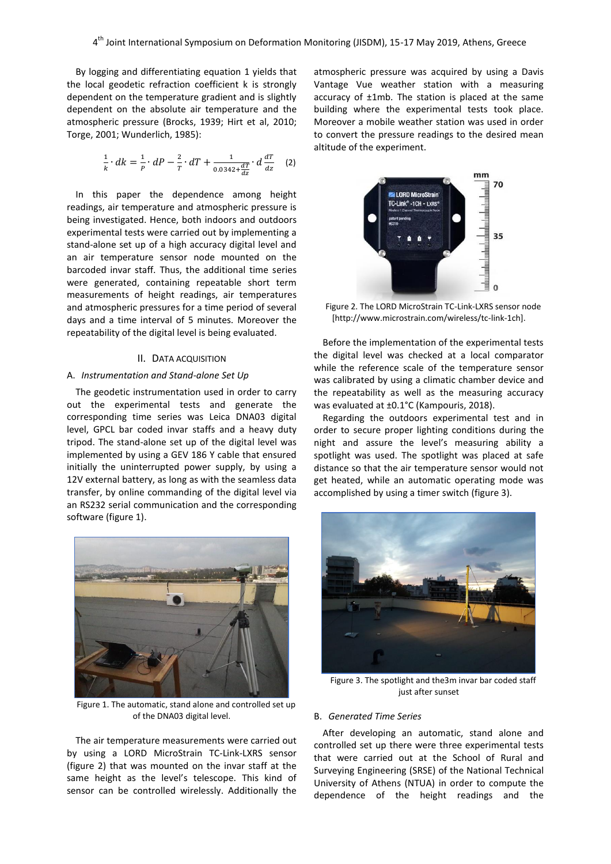By logging and differentiating equation 1 yields that the local geodetic refraction coefficient k is strongly dependent on the temperature gradient and is slightly dependent on the absolute air temperature and the atmospheric pressure (Brocks, 1939; Hirt et al, 2010; Torge, 2001; Wunderlich, 1985):

$$
\frac{1}{k} \cdot dk = \frac{1}{P} \cdot dP - \frac{2}{T} \cdot dT + \frac{1}{0.0342 + \frac{dT}{dz}} \cdot d\frac{dT}{dz} \quad (2)
$$

In this paper the dependence among height readings, air temperature and atmospheric pressure is being investigated. Hence, both indoors and outdoors experimental tests were carried out by implementing a stand-alone set up of a high accuracy digital level and an air temperature sensor node mounted on the barcoded invar staff. Thus, the additional time series were generated, containing repeatable short term measurements of height readings, air temperatures and atmospheric pressures for a time period of several days and a time interval of 5 minutes. Moreover the repeatability of the digital level is being evaluated.

#### II. DATA ACQUISITION

# A. *Instrumentation and Stand-alone Set Up*

The geodetic instrumentation used in order to carry out the experimental tests and generate the corresponding time series was Leica DNA03 digital level, GPCL bar coded invar staffs and a heavy duty tripod. The stand-alone set up of the digital level was implemented by using a GEV 186 Y cable that ensured initially the uninterrupted power supply, by using a 12V external battery, as long as with the seamless data transfer, by online commanding of the digital level via an RS232 serial communication and the corresponding software (figure 1).



Figure 1. The automatic, stand alone and controlled set up of the DNA03 digital level.

The air temperature measurements were carried out by using a LORD MicroStrain TC-Link-LXRS sensor (figure 2) that was mounted on the invar staff at the same height as the level's telescope. This kind of sensor can be controlled wirelessly. Additionally the

atmospheric pressure was acquired by using a Davis Vantage Vue weather station with a measuring accuracy of ±1mb. The station is placed at the same building where the experimental tests took place. Moreover a mobile weather station was used in order to convert the pressure readings to the desired mean altitude of the experiment.



Figure 2. The LORD MicroStrain TC-Link-LXRS sensor node [http://www.microstrain.com/wireless/tc-link-1ch].

Before the implementation of the experimental tests the digital level was checked at a local comparator while the reference scale of the temperature sensor was calibrated by using a climatic chamber device and the repeatability as well as the measuring accuracy was evaluated at ±0.1°C (Kampouris, 2018).

Regarding the outdoors experimental test and in order to secure proper lighting conditions during the night and assure the level's measuring ability a spotlight was used. The spotlight was placed at safe distance so that the air temperature sensor would not get heated, while an automatic operating mode was accomplished by using a timer switch (figure 3).



Figure 3. The spotlight and the3m invar bar coded staff just after sunset

#### B. *Generated Time Series*

After developing an automatic, stand alone and controlled set up there were three experimental tests that were carried out at the School of Rural and Surveying Engineering (SRSE) of the National Technical University of Athens (NTUA) in order to compute the dependence of the height readings and the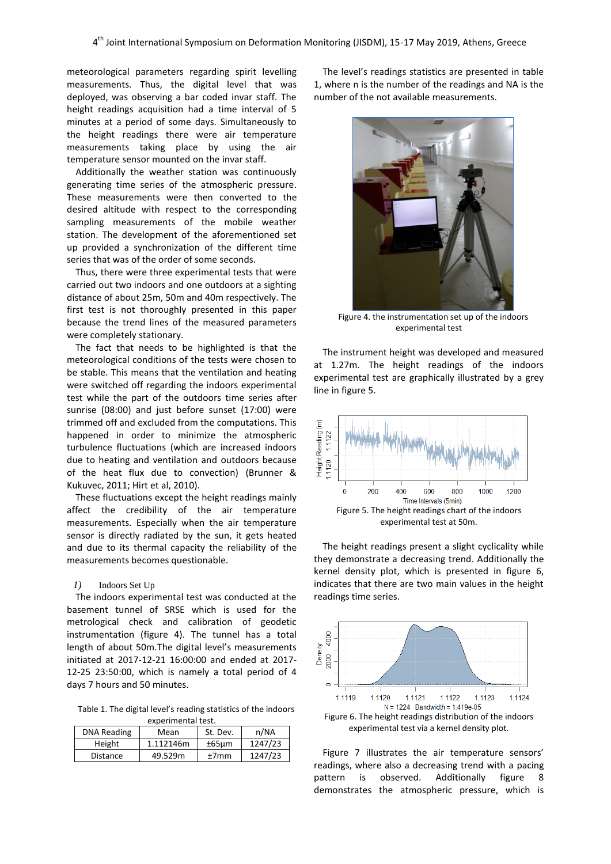meteorological parameters regarding spirit levelling measurements. Thus, the digital level that was deployed, was observing a bar coded invar staff. The height readings acquisition had a time interval of 5 minutes at a period of some days. Simultaneously to the height readings there were air temperature measurements taking place by using the air temperature sensor mounted on the invar staff.

Additionally the weather station was continuously generating time series of the atmospheric pressure. These measurements were then converted to the desired altitude with respect to the corresponding sampling measurements of the mobile weather station. The development of the aforementioned set up provided a synchronization of the different time series that was of the order of some seconds.

Thus, there were three experimental tests that were carried out two indoors and one outdoors at a sighting distance of about 25m, 50m and 40m respectively. The first test is not thoroughly presented in this paper because the trend lines of the measured parameters were completely stationary.

The fact that needs to be highlighted is that the meteorological conditions of the tests were chosen to be stable. This means that the ventilation and heating were switched off regarding the indoors experimental test while the part of the outdoors time series after sunrise (08:00) and just before sunset (17:00) were trimmed off and excluded from the computations. This happened in order to minimize the atmospheric turbulence fluctuations (which are increased indoors due to heating and ventilation and outdoors because of the heat flux due to convection) (Brunner & Kukuvec, 2011; Hirt et al, 2010).

These fluctuations except the height readings mainly affect the credibility of the air temperature measurements. Especially when the air temperature sensor is directly radiated by the sun, it gets heated and due to its thermal capacity the reliability of the measurements becomes questionable.

#### *1)* Indoors Set Up

The indoors experimental test was conducted at the basement tunnel of SRSE which is used for the metrological check and calibration of geodetic instrumentation (figure 4). The tunnel has a total length of about 50m.The digital level's measurements initiated at 2017-12-21 16:00:00 and ended at 2017- 12-25 23:50:00, which is namely a total period of 4 days 7 hours and 50 minutes.

Table 1. The digital level's reading statistics of the indoors experimental test.

| <b>DNA Reading</b> | Mean      | St. Dev. | n/NA    |  |
|--------------------|-----------|----------|---------|--|
| Height             | 1.112146m | $±65$ um | 1247/23 |  |
| <b>Distance</b>    | 49.529m   | $+7$ mm  | 1247/23 |  |

The level's readings statistics are presented in table 1, where n is the number of the readings and NA is the number of the not available measurements.



Figure 4. the instrumentation set up of the indoors experimental test

The instrument height was developed and measured at 1.27m. The height readings of the indoors experimental test are graphically illustrated by a grey line in figure 5.



The height readings present a slight cyclicality while they demonstrate a decreasing trend. Additionally the kernel density plot, which is presented in figure 6, indicates that there are two main values in the height readings time series.



Figure 7 illustrates the air temperature sensors' readings, where also a decreasing trend with a pacing pattern is observed. Additionally figure 8 demonstrates the atmospheric pressure, which is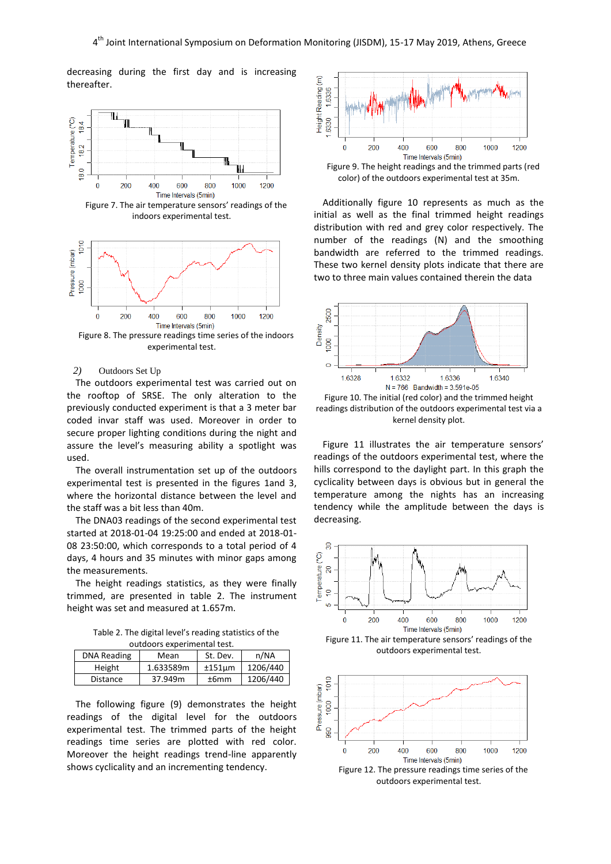decreasing during the first day and is increasing thereafter.



Figure 7. The air temperature sensors' readings of the indoors experimental test.



Figure 8. The pressure readings time series of the indoors experimental test.

#### *2)* Outdoors Set Up

The outdoors experimental test was carried out on the rooftop of SRSE. The only alteration to the previously conducted experiment is that a 3 meter bar coded invar staff was used. Moreover in order to secure proper lighting conditions during the night and assure the level's measuring ability a spotlight was used.

The overall instrumentation set up of the outdoors experimental test is presented in the figures 1and 3, where the horizontal distance between the level and the staff was a bit less than 40m.

The DNA03 readings of the second experimental test started at 2018-01-04 19:25:00 and ended at 2018-01- 08 23:50:00, which corresponds to a total period of 4 days, 4 hours and 35 minutes with minor gaps among the measurements.

The height readings statistics, as they were finally trimmed, are presented in table 2. The instrument height was set and measured at 1.657m.

Table 2. The digital level's reading statistics of the outdoors experimental test.

| <b>DNA Reading</b> | Mean      | St. Dev.              | n/NA     |  |  |  |
|--------------------|-----------|-----------------------|----------|--|--|--|
| Height             | 1.633589m | 1206/440<br>$±151$ um |          |  |  |  |
| <b>Distance</b>    | 37.949m   | ±6mm                  | 1206/440 |  |  |  |

The following figure (9) demonstrates the height readings of the digital level for the outdoors experimental test. The trimmed parts of the height readings time series are plotted with red color. Moreover the height readings trend-line apparently shows cyclicality and an incrementing tendency.



Figure 9. The height readings and the trimmed parts (red color) of the outdoors experimental test at 35m.

Additionally figure 10 represents as much as the initial as well as the final trimmed height readings distribution with red and grey color respectively. The number of the readings (N) and the smoothing bandwidth are referred to the trimmed readings. These two kernel density plots indicate that there are two to three main values contained therein the data



Figure 10. The initial (red color) and the trimmed height readings distribution of the outdoors experimental test via a kernel density plot.

Figure 11 illustrates the air temperature sensors' readings of the outdoors experimental test, where the hills correspond to the daylight part. In this graph the cyclicality between days is obvious but in general the temperature among the nights has an increasing tendency while the amplitude between the days is decreasing.



outdoors experimental test.

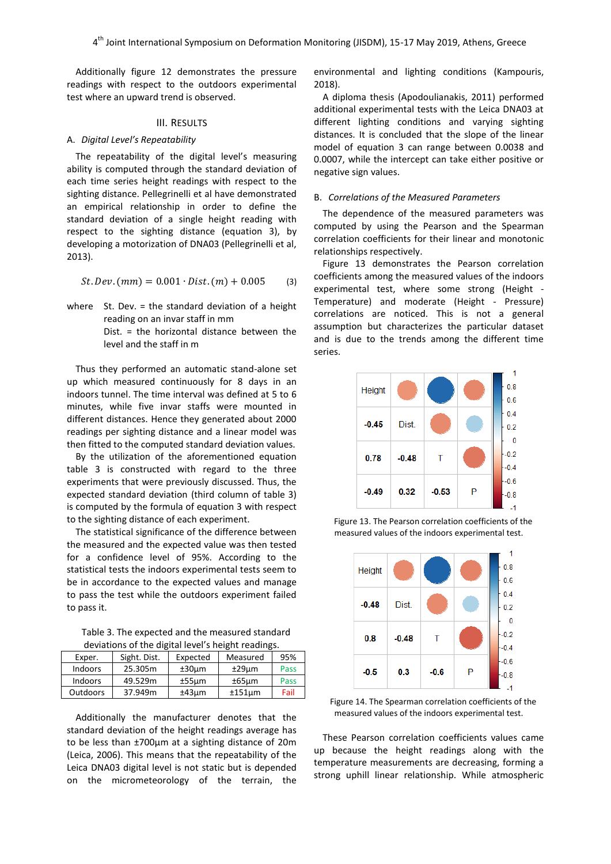Additionally figure 12 demonstrates the pressure readings with respect to the outdoors experimental test where an upward trend is observed.

#### III. RESULTS

# A. *Digital Level's Repeatability*

The repeatability of the digital level's measuring ability is computed through the standard deviation of each time series height readings with respect to the sighting distance. Pellegrinelli et al have demonstrated an empirical relationship in order to define the standard deviation of a single height reading with respect to the sighting distance (equation 3), by developing a motorization of DNA03 (Pellegrinelli et al, 2013).

$$
St. Dev. (mm) = 0.001 \cdot Dist. (m) + 0.005 \tag{3}
$$

where St. Dev. = the standard deviation of a height reading on an invar staff in mm Dist. = the horizontal distance between the level and the staff in m

Thus they performed an automatic stand-alone set up which measured continuously for 8 days in an indoors tunnel. The time interval was defined at 5 to 6 minutes, while five invar staffs were mounted in different distances. Hence they generated about 2000 readings per sighting distance and a linear model was then fitted to the computed standard deviation values.

By the utilization of the aforementioned equation table 3 is constructed with regard to the three experiments that were previously discussed. Thus, the expected standard deviation (third column of table 3) is computed by the formula of equation 3 with respect to the sighting distance of each experiment.

The statistical significance of the difference between the measured and the expected value was then tested for a confidence level of 95%. According to the statistical tests the indoors experimental tests seem to be in accordance to the expected values and manage to pass the test while the outdoors experiment failed to pass it.

Table 3. The expected and the measured standard deviations of the digital level's height readings.

| Exper.          | Sight. Dist. | Expected    | Measured    | 95%  |  |
|-----------------|--------------|-------------|-------------|------|--|
| <b>Indoors</b>  | 25.305m      | $±30 \mu m$ | $±29$ um    | Pass |  |
| <b>Indoors</b>  | 49.529m      | $±55 \mu m$ | $±65 \mu m$ | Pass |  |
| <b>Outdoors</b> | 37.949m      | ±43µm       | $±151$ um   | Fail |  |

Additionally the manufacturer denotes that the standard deviation of the height readings average has to be less than ±700μm at a sighting distance of 20m (Leica, 2006). This means that the repeatability of the Leica DNA03 digital level is not static but is depended on the micrometeorology of the terrain, the

environmental and lighting conditions (Kampouris, 2018).

A diploma thesis (Apodoulianakis, 2011) performed additional experimental tests with the Leica DNA03 at different lighting conditions and varying sighting distances. It is concluded that the slope of the linear model of equation 3 can range between 0.0038 and 0.0007, while the intercept can take either positive or negative sign values.

# B. *Correlations of the Measured Parameters*

The dependence of the measured parameters was computed by using the Pearson and the Spearman correlation coefficients for their linear and monotonic relationships respectively.

Figure 13 demonstrates the Pearson correlation coefficients among the measured values of the indoors experimental test, where some strong (Height - Temperature) and moderate (Height - Pressure) correlations are noticed. This is not a general assumption but characterizes the particular dataset and is due to the trends among the different time series.



Figure 13. The Pearson correlation coefficients of the measured values of the indoors experimental test.



Figure 14. The Spearman correlation coefficients of the measured values of the indoors experimental test.

These Pearson correlation coefficients values came up because the height readings along with the temperature measurements are decreasing, forming a strong uphill linear relationship. While atmospheric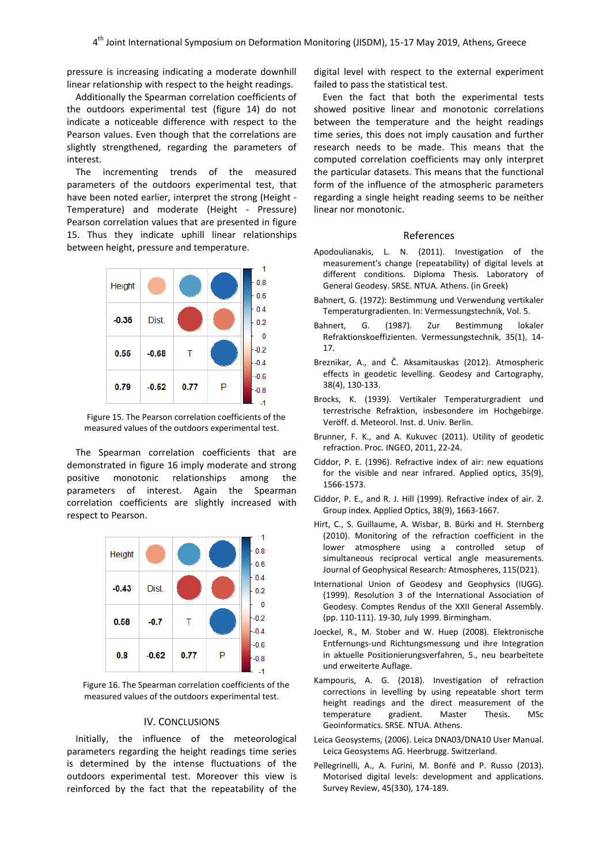pressure is increasing indicating a moderate downhill linear relationship with respect to the height readings.

Additionally the Spearman correlation coefficients of the outdoors experimental test (figure 14) do not indicate a noticeable difference with respect to the Pearson values. Even though that the correlations are slightly strengthened, regarding the parameters of interest.

The incrementing trends of the measured parameters of the outdoors experimental test, that have been noted earlier, interpret the strong (Height - Temperature) and moderate (Height - Pressure) Pearson correlation values that are presented in figure 15. Thus they indicate uphill linear relationships between height, pressure and temperature.



Figure 15. The Pearson correlation coefficients of the measured values of the outdoors experimental test.

The Spearman correlation coefficients that are demonstrated in figure 16 imply moderate and strong positive monotonic relationships among the parameters of interest. Again the Spearman correlation coefficients are slightly increased with respect to Pearson.



Figure 16. The Spearman correlation coefficients of the measured values of the outdoors experimental test.

# IV. CONCLUSIONS

Initially, the influence of the meteorological parameters regarding the height readings time series is determined by the intense fluctuations of the outdoors experimental test. Moreover this view is reinforced by the fact that the repeatability of the

digital level with respect to the external experiment failed to pass the statistical test.

Even the fact that both the experimental tests showed positive linear and monotonic correlations between the temperature and the height readings time series, this does not imply causation and further research needs to be made. This means that the computed correlation coefficients may only interpret the particular datasets. This means that the functional form of the influence of the atmospheric parameters regarding a single height reading seems to be neither linear nor monotonic.

#### References

- Apodoulianakis, L. N. (2011). Investigation of the measurement's change (repeatability) of digital levels at different conditions. Diploma Thesis. Laboratory of General Geodesy. SRSE. NTUA. Athens. (in Greek)
- Bahnert, G. (1972): Bestimmung und Verwendung vertikaler Temperaturgradienten. In: Vermessungstechnik, Vol. 5.
- Bahnert, G. (1987). Zur Bestimmung lokaler Refraktionskoeffizienten. Vermessungstechnik, 35(1), 14- 17.
- Breznikar, A., and Č. Aksamitauskas (2012). Atmospheric effects in geodetic levelling. Geodesy and Cartography, 38(4), 130-133.
- Brocks, K. (1939). Vertikaler Temperaturgradient und terrestrische Refraktion, insbesondere im Hochgebirge. Veröff. d. Meteorol. Inst. d. Univ. Berlin.
- Brunner, F. K., and A. Kukuvec (2011). Utility of geodetic refraction. Proc. INGEO, 2011, 22-24.
- Ciddor, P. E. (1996). Refractive index of air: new equations for the visible and near infrared. Applied optics, 35(9), 1566-1573.
- Ciddor, P. E., and R. J. Hill (1999). Refractive index of air. 2. Group index. Applied Optics, 38(9), 1663-1667.
- Hirt, C., S. Guillaume, A. Wisbar, B. Bürki and H. Sternberg (2010). Monitoring of the refraction coefficient in the lower atmosphere using a controlled setup of simultaneous reciprocal vertical angle measurements. Journal of Geophysical Research: Atmospheres, 115(D21).
- International Union of Geodesy and Geophysics (IUGG). (1999). Resolution 3 of the International Association of Geodesy. Comptes Rendus of the XXII General Assembly. (pp. 110-111). 19-30, July 1999. Birmingham.
- Joeckel, R., M. Stober and W. Huep (2008). Elektronische Entfernungs-und Richtungsmessung und ihre Integration in aktuelle Positionierungsverfahren, 5., neu bearbeitete und erweiterte Auflage.
- Kampouris, A. G. (2018). Investigation of refraction corrections in levelling by using repeatable short term height readings and the direct measurement of the temperature gradient. Master Thesis. MSc Geoinformatics. SRSE. NTUA. Athens.
- Leica Geosystems, (2006). Leica DNA03/DNA10 User Manual. Leica Geosystems AG. Heerbrugg. Switzerland.
- Pellegrinelli, A., A. Furini, M. Bonfé and P. Russo (2013). Motorised digital levels: development and applications. Survey Review, 45(330), 174-189.